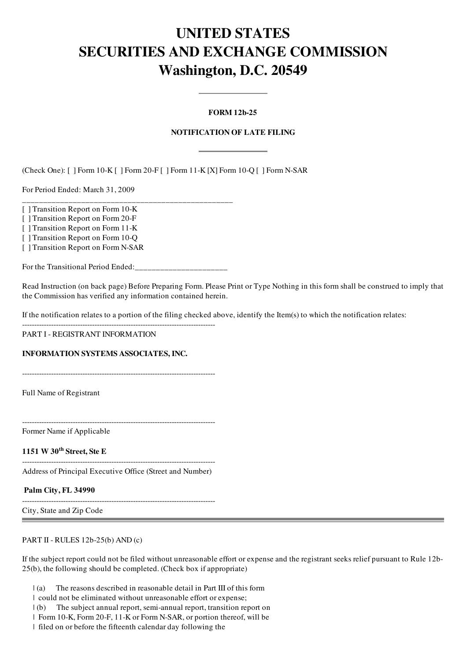# UNITED STATES SECURITIES AND EXCHANGE COMMISSION Washington, D.C. 20549

# FORM 12b-25

# NOTIFICATION OF LATE FILING

(Check One): [ ] Form 10-K [ ] Form 20-F [ ] Form 11-K [X] Form 10-Q [ ] Form N-SAR

For Period Ended: March 31, 2009

[ ] Transition Report on Form 10-K

[ ] Transition Report on Form 20-F

[ ] Transition Report on Form 11-K

[ ] Transition Report on Form 10-Q

[ ] Transition Report on Form N-SAR

For the Transitional Period Ended:\_\_\_\_\_\_\_\_\_\_\_\_\_\_\_\_\_\_\_\_\_\_

\_\_\_\_\_\_\_\_\_\_\_\_\_\_\_\_\_\_\_\_\_\_\_\_\_\_\_\_\_\_\_\_\_\_\_\_\_\_\_\_\_\_\_\_\_\_\_\_\_\_

Read Instruction (on back page) Before Preparing Form. Please Print or Type Nothing in this form shall be construed to imply that the Commission has verified any information contained herein.

If the notification relates to a portion of the filing checked above, identify the Item(s) to which the notification relates:

-------------------------------------------------------------------------------- PART I - REGISTRANT INFORMATION

INFORMATION SYSTEMS ASSOCIATES, INC.

--------------------------------------------------------------------------------

Full Name of Registrant

--------------------------------------------------------------------------------

Former Name if Applicable

1151 W 30<sup>th</sup> Street, Ste E

-------------------------------------------------------------------------------- Address of Principal Executive Office (Street and Number)

Palm City, FL 34990

and the control of the control of the control of the control of the control of the control of the control of the

-------------------------------------------------------------------------------- City, State and Zip Code

PART II - RULES 12b-25(b) AND (c)

If the subject report could not be filed without unreasonable effort or expense and the registrant seeks relief pursuant to Rule 12b-25(b), the following should be completed. (Check box if appropriate)

- $|(a)$  The reasons described in reasonable detail in Part III of this form
- | could not be eliminated without unreasonable effort or expense;
- | (b) The subject annual report, semi-annual report, transition report on
- | Form 10-K, Form 20-F, 11-K or Form N-SAR, or portion thereof, will be
- | filed on or before the fifteenth calendar day following the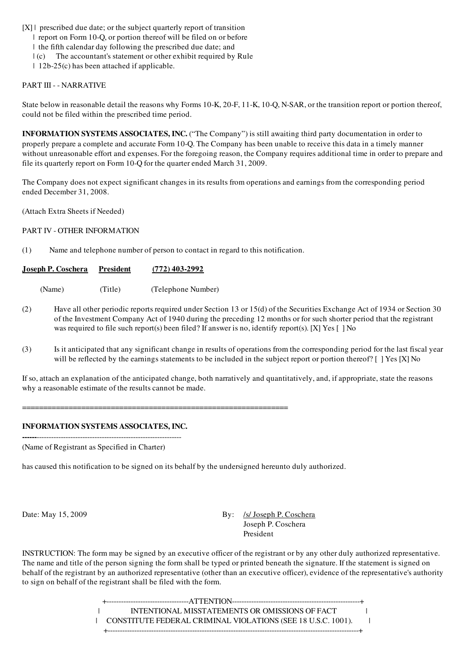$[X]$  | prescribed due date; or the subject quarterly report of transition

| report on Form 10-Q, or portion thereof will be filed on or before

| the fifth calendar day following the prescribed due date; and

 $| (c)$  The accountant's statement or other exhibit required by Rule

| 12b-25(c) has been attached if applicable.

### PART III - - NARRATIVE

State below in reasonable detail the reasons why Forms 10-K, 20-F, 11-K, 10-Q, N-SAR, or the transition report or portion thereof, could not be filed within the prescribed time period.

INFORMATION SYSTEMS ASSOCIATES, INC. ("The Company") is still awaiting third party documentation in order to properly prepare a complete and accurate Form 10-Q. The Company has been unable to receive this data in a timely manner without unreasonable effort and expenses. For the foregoing reason, the Company requires additional time in order to prepare and file its quarterly report on Form 10-Q for the quarter ended March 31, 2009.

The Company does not expect significant changes in its results from operations and earnings from the corresponding period ended December 31, 2008.

(Attach Extra Sheets if Needed)

PART IV - OTHER INFORMATION

(1) Name and telephone number of person to contact in regard to this notification.

| <u>Joseph P. Coschera</u> | President | $(772)$ 403-2992   |
|---------------------------|-----------|--------------------|
| (Name)                    | (Title)   | (Telephone Number) |

- (2) Have all other periodic reports required under Section 13 or 15(d) of the Securities Exchange Act of 1934 or Section 30 of the Investment Company Act of 1940 during the preceding 12 months or for such shorter period that the registrant was required to file such report(s) been filed? If answer is no, identify report(s). [X] Yes [ ] No
- (3) Is it anticipated that any significant change in results of operations from the corresponding period for the last fiscal year will be reflected by the earnings statements to be included in the subject report or portion thereof? [ ] Yes [X] No

If so, attach an explanation of the anticipated change, both narratively and quantitatively, and, if appropriate, state the reasons why a reasonable estimate of the results cannot be made.

===============================================================

#### INFORMATION SYSTEMS ASSOCIATES, INC. ------------------------------------------------------------------

(Name of Registrant as Specified in Charter)

has caused this notification to be signed on its behalf by the undersigned hereunto duly authorized.

Date: May 15, 2009 By: *Isl Joseph P. Coschera* Joseph P. Coschera President

INSTRUCTION: The form may be signed by an executive officer of the registrant or by any other duly authorized representative. The name and title of the person signing the form shall be typed or printed beneath the signature. If the statement is signed on behalf of the registrant by an authorized representative (other than an executive officer), evidence of the representative's authority to sign on behalf of the registrant shall be filed with the form.